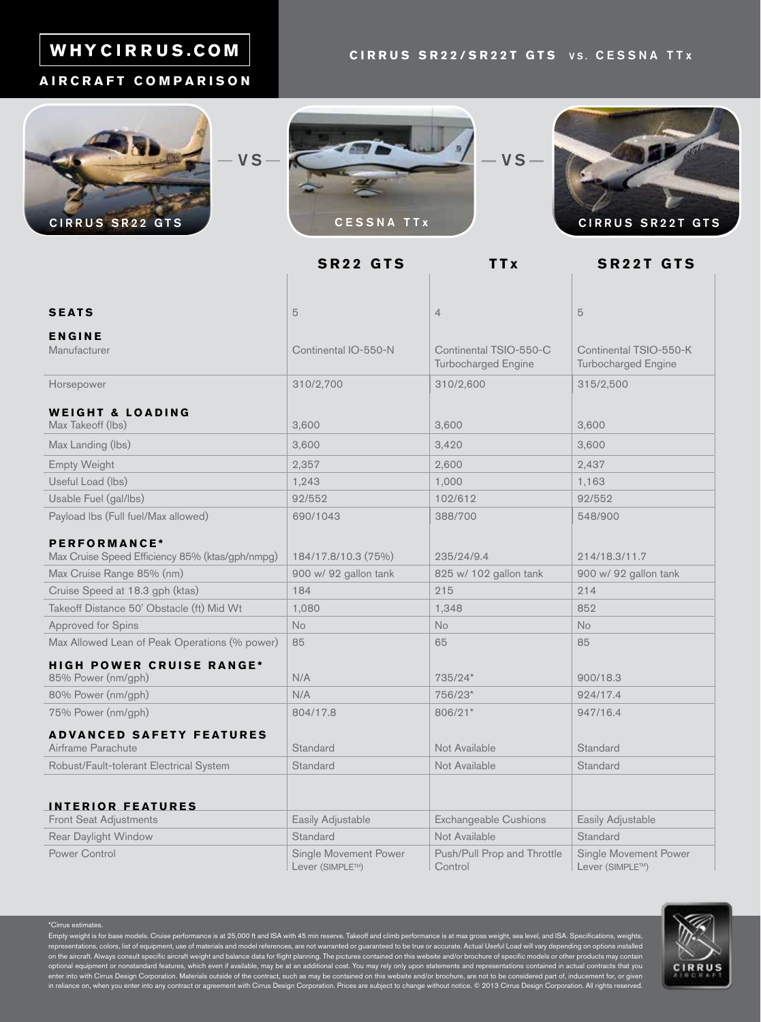# WHYCIRRUS.COM

#### **CIRRUS SR22/SR22T GTS VS. CESSNA TTx**

#### **AIRCRAFT COMPARISON**







**SR22 GTS TTx SR22T GTS**

| <b>SEATS</b>                                                    | 5                                        | $\overline{4}$                                       | 5                                                    |
|-----------------------------------------------------------------|------------------------------------------|------------------------------------------------------|------------------------------------------------------|
| <b>ENGINE</b>                                                   |                                          |                                                      |                                                      |
| Manufacturer                                                    | Continental IO-550-N                     | Continental TSIO-550-C<br><b>Turbocharged Engine</b> | Continental TSIO-550-K<br><b>Turbocharged Engine</b> |
| Horsepower                                                      | 310/2,700                                | 310/2,600                                            | 315/2,500                                            |
| <b>WEIGHT &amp; LOADING</b><br>Max Takeoff (lbs)                | 3,600                                    | 3,600                                                | 3,600                                                |
| Max Landing (lbs)                                               | 3,600                                    | 3,420                                                | 3,600                                                |
| <b>Empty Weight</b>                                             | 2,357                                    | 2,600                                                | 2,437                                                |
| Useful Load (lbs)                                               | 1,243                                    | 1,000                                                | 1,163                                                |
| Usable Fuel (gal/lbs)                                           | 92/552                                   | 102/612                                              | 92/552                                               |
| Payload Ibs (Full fuel/Max allowed)                             | 690/1043                                 | 388/700                                              | 548/900                                              |
| PERFORMANCE*<br>Max Cruise Speed Efficiency 85% (ktas/gph/nmpg) | 184/17.8/10.3 (75%)                      | 235/24/9.4                                           | 214/18.3/11.7                                        |
| Max Cruise Range 85% (nm)                                       | 900 w/ 92 gallon tank                    | 825 w/ 102 gallon tank                               | 900 w/ 92 gallon tank                                |
| Cruise Speed at 18.3 gph (ktas)                                 | 184                                      | 215                                                  | 214                                                  |
| Takeoff Distance 50' Obstacle (ft) Mid Wt                       | 1,080                                    | 1,348                                                | 852                                                  |
| Approved for Spins                                              | No                                       | <b>No</b>                                            | <b>No</b>                                            |
| Max Allowed Lean of Peak Operations (% power)                   | 85                                       | 65                                                   | 85                                                   |
| <b>HIGH POWER CRUISE RANGE*</b><br>85% Power (nm/gph)           | N/A                                      | 735/24*                                              | 900/18.3                                             |
| 80% Power (nm/gph)                                              | N/A                                      | 756/23*                                              | 924/17.4                                             |
| 75% Power (nm/gph)                                              | 804/17.8                                 | 806/21*                                              | 947/16.4                                             |
| <b>ADVANCED SAFETY FEATURES</b><br>Airframe Parachute           | Standard                                 | Not Available                                        | Standard                                             |
| Robust/Fault-tolerant Electrical System                         | Standard                                 | Not Available                                        | Standard                                             |
|                                                                 |                                          |                                                      |                                                      |
| <b>INTERIOR FEATURES</b>                                        |                                          |                                                      |                                                      |
| Front Seat Adjustments                                          | Easily Adjustable                        | <b>Exchangeable Cushions</b>                         | Easily Adjustable                                    |
| Rear Daylight Window                                            | Standard                                 | Not Available                                        | Standard                                             |
| <b>Power Control</b>                                            | Single Movement Power<br>Lever (SIMPLE™) | Push/Pull Prop and Throttle<br>Control               | Single Movement Power<br>Lever (SIMPLE™)             |

#### \*Cirrus estimate

Empty weight is for base models. Cruise performance is at 25,000 ft and ISA with 45 min reserve. Takeoff and climb performance is at max gross weight, sea level, and ISA. Specifications, weights, representations, colors, list of equipment, use of materials and model references, are not warranted or guaranteed to be true or accurate. Actual Useful Load will vary depending on options installed<br>on the aircraft. Always